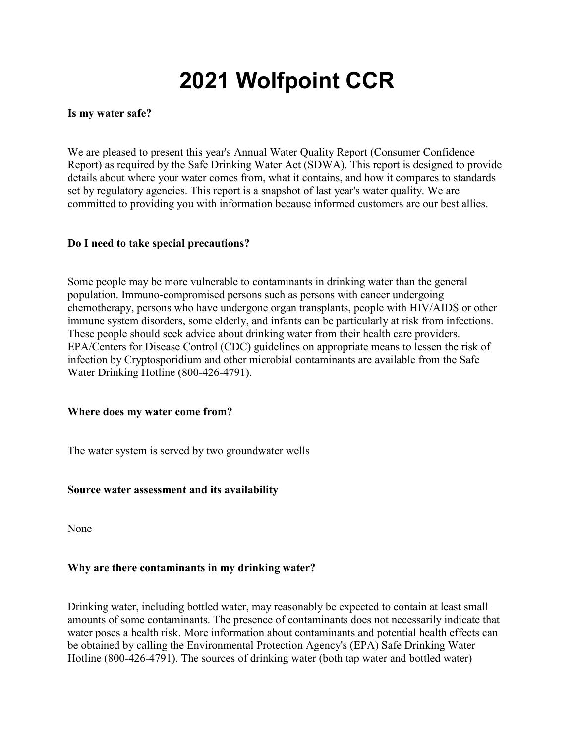# **2021 Wolfpoint CCR**

#### **Is my water safe?**

We are pleased to present this year's Annual Water Quality Report (Consumer Confidence Report) as required by the Safe Drinking Water Act (SDWA). This report is designed to provide details about where your water comes from, what it contains, and how it compares to standards set by regulatory agencies. This report is a snapshot of last year's water quality. We are committed to providing you with information because informed customers are our best allies.

#### **Do I need to take special precautions?**

Some people may be more vulnerable to contaminants in drinking water than the general population. Immuno-compromised persons such as persons with cancer undergoing chemotherapy, persons who have undergone organ transplants, people with HIV/AIDS or other immune system disorders, some elderly, and infants can be particularly at risk from infections. These people should seek advice about drinking water from their health care providers. EPA/Centers for Disease Control (CDC) guidelines on appropriate means to lessen the risk of infection by Cryptosporidium and other microbial contaminants are available from the Safe Water Drinking Hotline (800-426-4791).

#### **Where does my water come from?**

The water system is served by two groundwater wells

# **Source water assessment and its availability**

None

# **Why are there contaminants in my drinking water?**

Drinking water, including bottled water, may reasonably be expected to contain at least small amounts of some contaminants. The presence of contaminants does not necessarily indicate that water poses a health risk. More information about contaminants and potential health effects can be obtained by calling the Environmental Protection Agency's (EPA) Safe Drinking Water Hotline (800-426-4791). The sources of drinking water (both tap water and bottled water)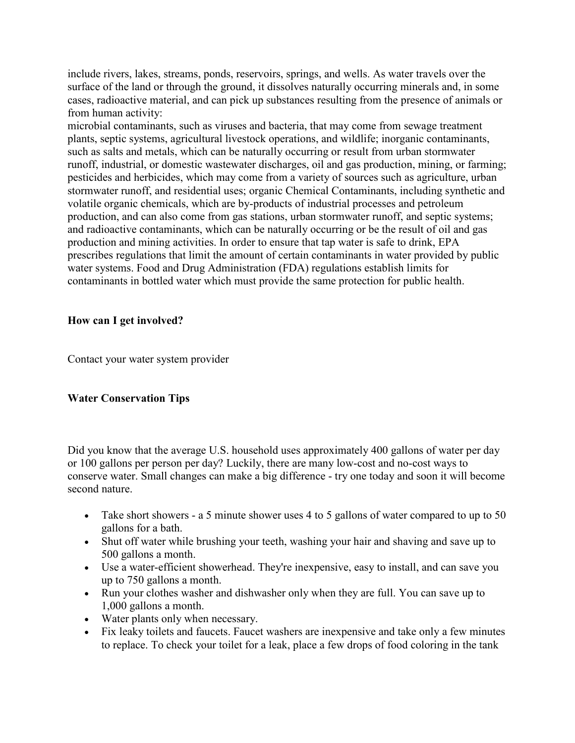include rivers, lakes, streams, ponds, reservoirs, springs, and wells. As water travels over the surface of the land or through the ground, it dissolves naturally occurring minerals and, in some cases, radioactive material, and can pick up substances resulting from the presence of animals or from human activity:

microbial contaminants, such as viruses and bacteria, that may come from sewage treatment plants, septic systems, agricultural livestock operations, and wildlife; inorganic contaminants, such as salts and metals, which can be naturally occurring or result from urban stormwater runoff, industrial, or domestic wastewater discharges, oil and gas production, mining, or farming; pesticides and herbicides, which may come from a variety of sources such as agriculture, urban stormwater runoff, and residential uses; organic Chemical Contaminants, including synthetic and volatile organic chemicals, which are by-products of industrial processes and petroleum production, and can also come from gas stations, urban stormwater runoff, and septic systems; and radioactive contaminants, which can be naturally occurring or be the result of oil and gas production and mining activities. In order to ensure that tap water is safe to drink, EPA prescribes regulations that limit the amount of certain contaminants in water provided by public water systems. Food and Drug Administration (FDA) regulations establish limits for contaminants in bottled water which must provide the same protection for public health.

# **How can I get involved?**

Contact your water system provider

#### **Water Conservation Tips**

Did you know that the average U.S. household uses approximately 400 gallons of water per day or 100 gallons per person per day? Luckily, there are many low-cost and no-cost ways to conserve water. Small changes can make a big difference - try one today and soon it will become second nature.

- Take short showers a 5 minute shower uses 4 to 5 gallons of water compared to up to 50 gallons for a bath.
- Shut off water while brushing your teeth, washing your hair and shaving and save up to 500 gallons a month.
- Use a water-efficient showerhead. They're inexpensive, easy to install, and can save you up to 750 gallons a month.
- Run your clothes washer and dishwasher only when they are full. You can save up to 1,000 gallons a month.
- Water plants only when necessary.
- Fix leaky toilets and faucets. Faucet washers are inexpensive and take only a few minutes to replace. To check your toilet for a leak, place a few drops of food coloring in the tank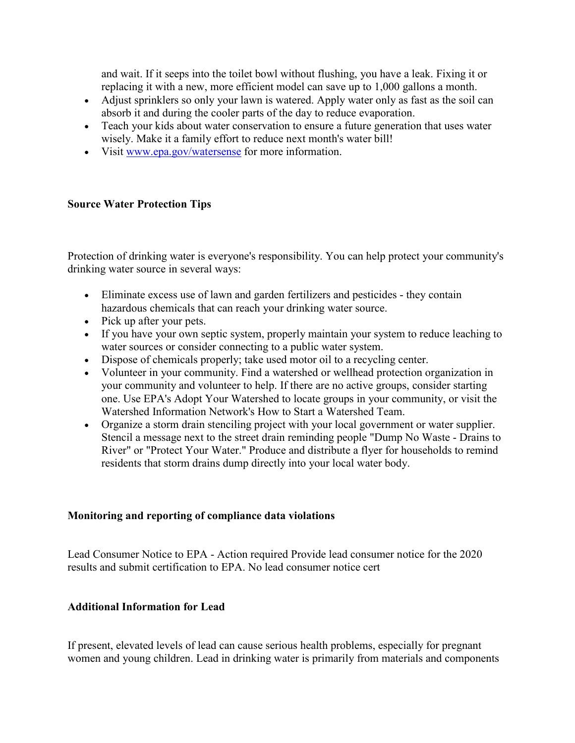and wait. If it seeps into the toilet bowl without flushing, you have a leak. Fixing it or replacing it with a new, more efficient model can save up to 1,000 gallons a month.

- Adjust sprinklers so only your lawn is watered. Apply water only as fast as the soil can absorb it and during the cooler parts of the day to reduce evaporation.
- Teach your kids about water conservation to ensure a future generation that uses water wisely. Make it a family effort to reduce next month's water bill!
- Visit [www.epa.gov/watersense](http://www.epa.gov/watersense) for more information.

#### **Source Water Protection Tips**

Protection of drinking water is everyone's responsibility. You can help protect your community's drinking water source in several ways:

- Eliminate excess use of lawn and garden fertilizers and pesticides they contain hazardous chemicals that can reach your drinking water source.
- Pick up after your pets.
- If you have your own septic system, properly maintain your system to reduce leaching to water sources or consider connecting to a public water system.
- Dispose of chemicals properly; take used motor oil to a recycling center.
- Volunteer in your community. Find a watershed or wellhead protection organization in your community and volunteer to help. If there are no active groups, consider starting one. Use EPA's Adopt Your Watershed to locate groups in your community, or visit the Watershed Information Network's How to Start a Watershed Team.
- Organize a storm drain stenciling project with your local government or water supplier. Stencil a message next to the street drain reminding people "Dump No Waste - Drains to River" or "Protect Your Water." Produce and distribute a flyer for households to remind residents that storm drains dump directly into your local water body.

#### **Monitoring and reporting of compliance data violations**

Lead Consumer Notice to EPA - Action required Provide lead consumer notice for the 2020 results and submit certification to EPA. No lead consumer notice cert

#### **Additional Information for Lead**

If present, elevated levels of lead can cause serious health problems, especially for pregnant women and young children. Lead in drinking water is primarily from materials and components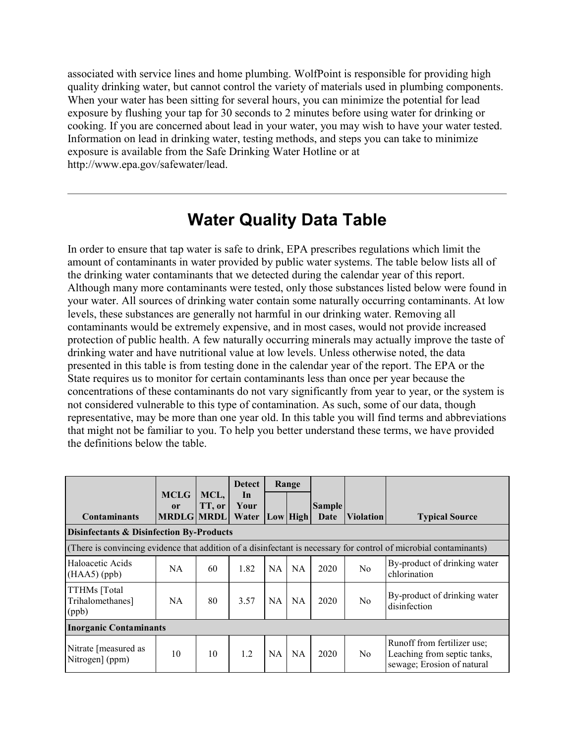associated with service lines and home plumbing. WolfPoint is responsible for providing high quality drinking water, but cannot control the variety of materials used in plumbing components. When your water has been sitting for several hours, you can minimize the potential for lead exposure by flushing your tap for 30 seconds to 2 minutes before using water for drinking or cooking. If you are concerned about lead in your water, you may wish to have your water tested. Information on lead in drinking water, testing methods, and steps you can take to minimize exposure is available from the Safe Drinking Water Hotline or at http://www.epa.gov/safewater/lead.

# **Water Quality Data Table**

In order to ensure that tap water is safe to drink, EPA prescribes regulations which limit the amount of contaminants in water provided by public water systems. The table below lists all of the drinking water contaminants that we detected during the calendar year of this report. Although many more contaminants were tested, only those substances listed below were found in your water. All sources of drinking water contain some naturally occurring contaminants. At low levels, these substances are generally not harmful in our drinking water. Removing all contaminants would be extremely expensive, and in most cases, would not provide increased protection of public health. A few naturally occurring minerals may actually improve the taste of drinking water and have nutritional value at low levels. Unless otherwise noted, the data presented in this table is from testing done in the calendar year of the report. The EPA or the State requires us to monitor for certain contaminants less than once per year because the concentrations of these contaminants do not vary significantly from year to year, or the system is not considered vulnerable to this type of contamination. As such, some of our data, though representative, may be more than one year old. In this table you will find terms and abbreviations that might not be familiar to you. To help you better understand these terms, we have provided the definitions below the table.

|                                                     |                                                   |                | <b>Detect</b>       | Range     |           |                       |                  |                                                                                                                   |
|-----------------------------------------------------|---------------------------------------------------|----------------|---------------------|-----------|-----------|-----------------------|------------------|-------------------------------------------------------------------------------------------------------------------|
| <b>Contaminants</b>                                 | <b>MCLG</b><br><sub>or</sub><br><b>MRDLG MRDL</b> | MCL,<br>TT, or | In<br>Your<br>Water |           | Low  High | <b>Sample</b><br>Date | <b>Violation</b> | <b>Typical Source</b>                                                                                             |
| <b>Disinfectants &amp; Disinfection By-Products</b> |                                                   |                |                     |           |           |                       |                  |                                                                                                                   |
|                                                     |                                                   |                |                     |           |           |                       |                  | (There is convincing evidence that addition of a disinfectant is necessary for control of microbial contaminants) |
| Haloacetic Acids<br>$(HAA5)$ (ppb)                  | NA.                                               | 60             | 1.82                | <b>NA</b> | <b>NA</b> | 2020                  | N <sub>0</sub>   | By-product of drinking water<br>chlorination                                                                      |
| TTHMs [Total<br>Trihalomethanes]<br>(ppb)           | NA.                                               | 80             | 3.57                | <b>NA</b> | <b>NA</b> | 2020                  | No               | By-product of drinking water<br>disinfection                                                                      |
| <b>Inorganic Contaminants</b>                       |                                                   |                |                     |           |           |                       |                  |                                                                                                                   |
| Nitrate [measured as<br>Nitrogen] (ppm)             | 10                                                | 10             | 1.2                 | <b>NA</b> | <b>NA</b> | 2020                  | N <sub>o</sub>   | Runoff from fertilizer use;<br>Leaching from septic tanks,<br>sewage; Erosion of natural                          |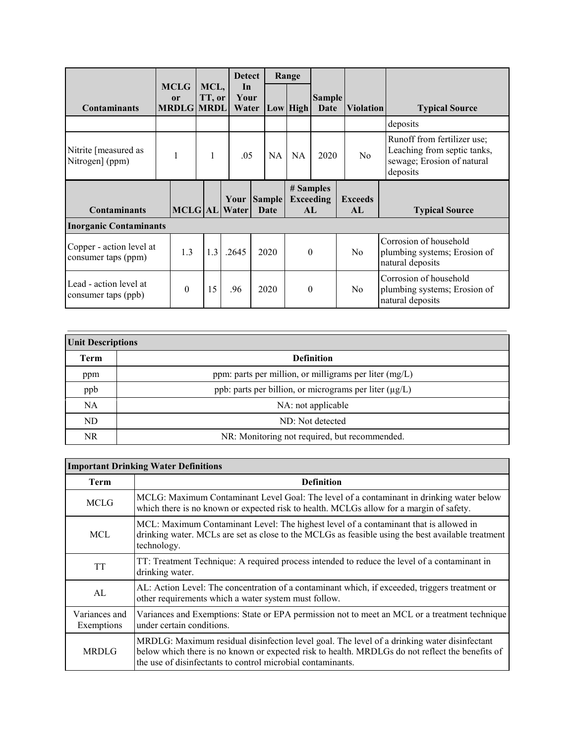|                                                 |                                        |                | <b>Detect</b>         |                       |    | Range           |                       |                      |                                                                                                      |
|-------------------------------------------------|----------------------------------------|----------------|-----------------------|-----------------------|----|-----------------|-----------------------|----------------------|------------------------------------------------------------------------------------------------------|
| <b>Contaminants</b>                             | <b>MCLG</b><br>or<br><b>MRDLG MRDL</b> | MCL,<br>TT, or | In<br>Your<br>Water   |                       |    | Low High        | <b>Sample</b><br>Date | <b>Violation</b>     | <b>Typical Source</b>                                                                                |
|                                                 |                                        |                |                       |                       |    |                 |                       |                      | deposits                                                                                             |
| Nitrite [measured as<br>Nitrogen] (ppm)         | 1                                      | $\mathbf{1}$   | .05                   |                       | NA | <b>NA</b>       | 2020                  | N <sub>o</sub>       | Runoff from fertilizer use;<br>Leaching from septic tanks,<br>sewage; Erosion of natural<br>deposits |
| <b>Contaminants</b>                             |                                        |                | Your<br>MCLG AL Water | <b>Sample</b><br>Date |    | # Samples<br>AL | <b>Exceeding</b>      | <b>Exceeds</b><br>AL | <b>Typical Source</b>                                                                                |
| <b>Inorganic Contaminants</b>                   |                                        |                |                       |                       |    |                 |                       |                      |                                                                                                      |
| Copper - action level at<br>consumer taps (ppm) | 1.3                                    | 1.3            | .2645                 | 2020                  |    | $\theta$        |                       | N <sub>o</sub>       | Corrosion of household<br>plumbing systems; Erosion of<br>natural deposits                           |
| Lead - action level at<br>consumer taps (ppb)   | $\theta$                               | 15             | .96                   | 2020                  |    | $\Omega$        |                       | N <sub>o</sub>       | Corrosion of household<br>plumbing systems; Erosion of<br>natural deposits                           |

| <b>Unit Descriptions</b> |                                                             |  |  |  |  |
|--------------------------|-------------------------------------------------------------|--|--|--|--|
| Term                     | <b>Definition</b>                                           |  |  |  |  |
| ppm                      | ppm: parts per million, or milligrams per liter $(mg/L)$    |  |  |  |  |
| ppb                      | ppb: parts per billion, or micrograms per liter $(\mu g/L)$ |  |  |  |  |
| <b>NA</b>                | NA: not applicable                                          |  |  |  |  |
| ND.                      | ND: Not detected                                            |  |  |  |  |
| NR.                      | NR: Monitoring not required, but recommended.               |  |  |  |  |

| <b>Important Drinking Water Definitions</b> |                                                                                                                                                                                                                                                               |  |  |  |
|---------------------------------------------|---------------------------------------------------------------------------------------------------------------------------------------------------------------------------------------------------------------------------------------------------------------|--|--|--|
| <b>Term</b>                                 | <b>Definition</b>                                                                                                                                                                                                                                             |  |  |  |
| <b>MCLG</b>                                 | MCLG: Maximum Contaminant Level Goal: The level of a contaminant in drinking water below<br>which there is no known or expected risk to health. MCLGs allow for a margin of safety.                                                                           |  |  |  |
| MCL                                         | MCL: Maximum Contaminant Level: The highest level of a contaminant that is allowed in<br>drinking water. MCLs are set as close to the MCLGs as feasible using the best available treatment<br>technology.                                                     |  |  |  |
| <b>TT</b>                                   | TT: Treatment Technique: A required process intended to reduce the level of a contaminant in<br>drinking water.                                                                                                                                               |  |  |  |
| AL                                          | AL: Action Level: The concentration of a contaminant which, if exceeded, triggers treatment or<br>other requirements which a water system must follow.                                                                                                        |  |  |  |
| Variances and<br>Exemptions                 | Variances and Exemptions: State or EPA permission not to meet an MCL or a treatment technique<br>under certain conditions.                                                                                                                                    |  |  |  |
| <b>MRDLG</b>                                | MRDLG: Maximum residual disinfection level goal. The level of a drinking water disinfectant<br>below which there is no known or expected risk to health. MRDLGs do not reflect the benefits of<br>the use of disinfectants to control microbial contaminants. |  |  |  |